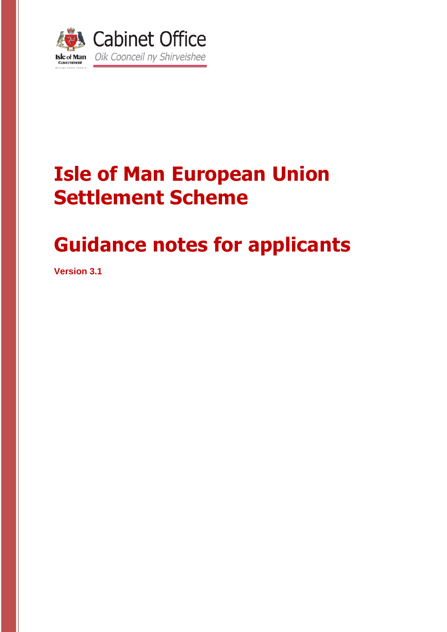

# **Isle of Man European Union Settlement Scheme**

# **Guidance notes for applicants**

**Version 3.1**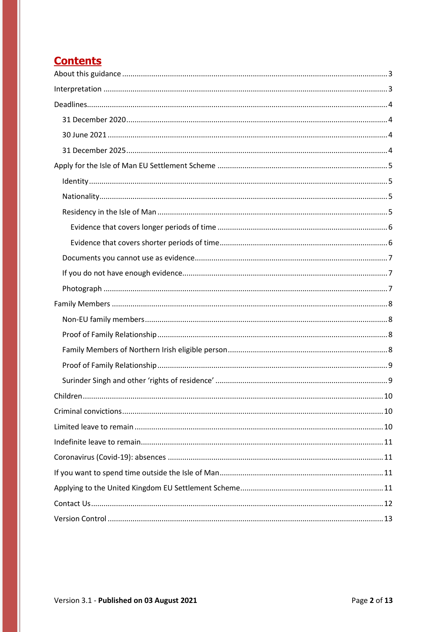### **Contents**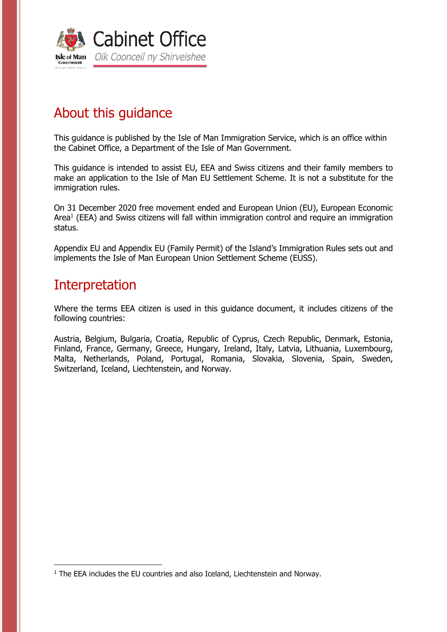

## <span id="page-2-0"></span>About this guidance

This guidance is published by the Isle of Man Immigration Service, which is an office within the Cabinet Office, a Department of the Isle of Man Government.

This guidance is intended to assist EU, EEA and Swiss citizens and their family members to make an application to the Isle of Man EU Settlement Scheme. It is not a substitute for the immigration rules.

On 31 December 2020 free movement ended and European Union (EU), European Economic Area<sup>1</sup> (EEA) and Swiss citizens will fall within immigration control and require an immigration status.

Appendix EU and Appendix EU (Family Permit) of the Island's Immigration Rules sets out and implements the Isle of Man European Union Settlement Scheme (EUSS).

### <span id="page-2-1"></span>Interpretation

1

Where the terms EEA citizen is used in this guidance document, it includes citizens of the following countries:

Austria, Belgium, Bulgaria, Croatia, Republic of Cyprus, Czech Republic, Denmark, Estonia, Finland, France, Germany, Greece, Hungary, Ireland, Italy, Latvia, Lithuania, Luxembourg, Malta, Netherlands, Poland, Portugal, Romania, Slovakia, Slovenia, Spain, Sweden, Switzerland, Iceland, Liechtenstein, and Norway.

 $1$  The EEA includes the EU countries and also Iceland, Liechtenstein and Norway.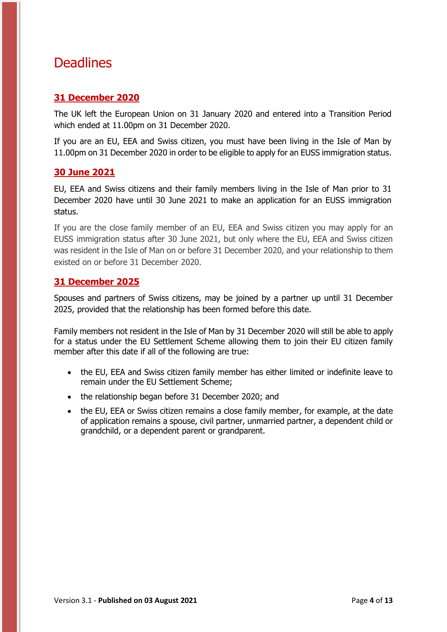### <span id="page-3-0"></span>**Deadlines**

#### <span id="page-3-1"></span>**31 December 2020**

The UK left the European Union on 31 January 2020 and entered into a Transition Period which ended at 11.00pm on 31 December 2020.

If you are an EU, EEA and Swiss citizen, you must have been living in the Isle of Man by 11.00pm on 31 December 2020 in order to be eligible to apply for an EUSS immigration status.

#### <span id="page-3-2"></span>**30 June 2021**

EU, EEA and Swiss citizens and their family members living in the Isle of Man prior to 31 December 2020 have until 30 June 2021 to make an application for an EUSS immigration status.

If you are the close family member of an EU, EEA and Swiss citizen you may apply for an EUSS immigration status after 30 June 2021, but only where the EU, EEA and Swiss citizen was resident in the Isle of Man on or before 31 December 2020, and your relationship to them existed on or before 31 December 2020.

#### <span id="page-3-3"></span>**31 December 2025**

Spouses and partners of Swiss citizens, may be joined by a partner up until 31 December 2025, provided that the relationship has been formed before this date.

Family members not resident in the Isle of Man by 31 December 2020 will still be able to apply for a status under the EU Settlement Scheme allowing them to join their EU citizen family member after this date if all of the following are true:

- the EU, EEA and Swiss citizen family member has either limited or indefinite leave to remain under the EU Settlement Scheme;
- the relationship began before 31 December 2020; and
- the EU, EEA or Swiss citizen remains a close family member, for example, at the date of application remains a spouse, civil partner, unmarried partner, a dependent child or grandchild, or a dependent parent or grandparent.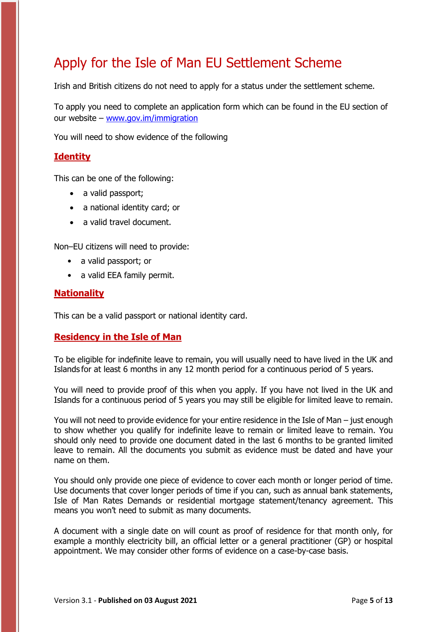### <span id="page-4-0"></span>Apply for the Isle of Man EU Settlement Scheme

Irish and British citizens do not need to apply for a status under the settlement scheme.

To apply you need to complete an application form which can be found in the EU section of our website – [www.gov.im/immigration](http://www.gov.im/immigration)

You will need to show evidence of the following

#### <span id="page-4-1"></span>**Identity**

This can be one of the following:

- a valid passport;
- a national identity card; or
- a valid travel document.

Non–EU citizens will need to provide:

- a valid passport; or
- a valid EEA family permit.

#### <span id="page-4-2"></span>**Nationality**

This can be a valid passport or national identity card.

#### <span id="page-4-3"></span>**Residency in the Isle of Man**

To be eligible for indefinite leave to remain, you will usually need to have lived in the UK and Islands for at least 6 months in any 12 month period for a continuous period of 5 years.

You will need to provide proof of this when you apply. If you have not lived in the UK and Islands for a continuous period of 5 years you may still be eligible for limited leave to remain.

You will not need to provide evidence for your entire residence in the Isle of Man – just enough to show whether you qualify for indefinite leave to remain or limited leave to remain. You should only need to provide one document dated in the last 6 months to be granted limited leave to remain. All the documents you submit as evidence must be dated and have your name on them.

You should only provide one piece of evidence to cover each month or longer period of time. Use documents that cover longer periods of time if you can, such as annual bank statements, Isle of Man Rates Demands or residential mortgage statement/tenancy agreement. This means you won't need to submit as many documents.

A document with a single date on will count as proof of residence for that month only, for example a monthly electricity bill, an official letter or a general practitioner (GP) or hospital appointment. We may consider other forms of evidence on a case-by-case basis.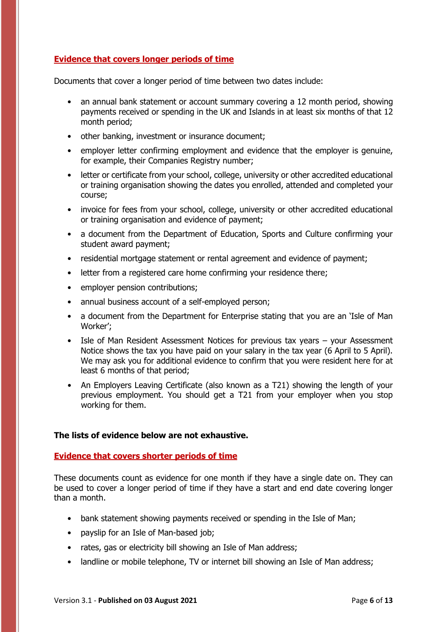#### <span id="page-5-0"></span>**Evidence that covers longer periods of time**

Documents that cover a longer period of time between two dates include:

- an annual bank statement or account summary covering a 12 month period, showing payments received or spending in the UK and Islands in at least six months of that 12 month period;
- other banking, investment or insurance document;
- employer letter confirming employment and evidence that the employer is genuine, for example, their Companies Registry number;
- letter or certificate from your school, college, university or other accredited educational or training organisation showing the dates you enrolled, attended and completed your course;
- invoice for fees from your school, college, university or other accredited educational or training organisation and evidence of payment;
- a document from the Department of Education, Sports and Culture confirming your student award payment;
- residential mortgage statement or rental agreement and evidence of payment;
- letter from a registered care home confirming your residence there;
- employer pension contributions;
- annual business account of a self-employed person;
- a document from the Department for Enterprise stating that you are an 'Isle of Man Worker';
- Isle of Man Resident Assessment Notices for previous tax years your Assessment Notice shows the tax you have paid on your salary in the tax year (6 April to 5 April). We may ask you for additional evidence to confirm that you were resident here for at least 6 months of that period;
- An Employers Leaving Certificate (also known as a T21) showing the length of your previous employment. You should get a T21 from your employer when you stop working for them.

#### **The lists of evidence below are not exhaustive.**

#### <span id="page-5-1"></span>**Evidence that covers shorter periods of time**

These documents count as evidence for one month if they have a single date on. They can be used to cover a longer period of time if they have a start and end date covering longer than a month.

- bank statement showing payments received or spending in the Isle of Man:
- payslip for an Isle of Man-based job;
- rates, gas or electricity bill showing an Isle of Man address;
- landline or mobile telephone, TV or internet bill showing an Isle of Man address;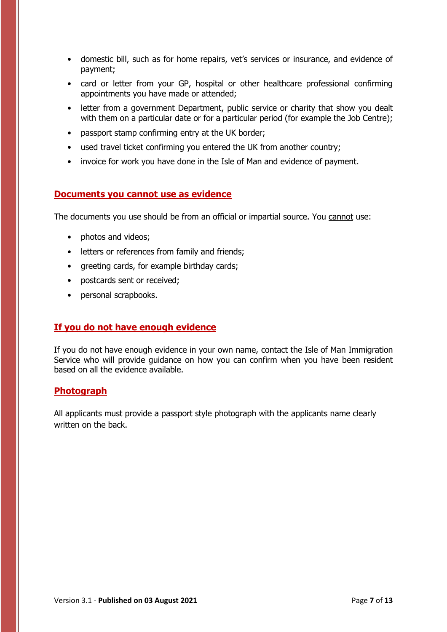- domestic bill, such as for home repairs, vet's services or insurance, and evidence of payment;
- card or letter from your GP, hospital or other healthcare professional confirming appointments you have made or attended;
- letter from a government Department, public service or charity that show you dealt with them on a particular date or for a particular period (for example the Job Centre);
- passport stamp confirming entry at the UK border;
- used travel ticket confirming you entered the UK from another country;
- invoice for work you have done in the Isle of Man and evidence of payment.

#### <span id="page-6-0"></span>**Documents you cannot use as evidence**

The documents you use should be from an official or impartial source. You cannot use:

- photos and videos;
- letters or references from family and friends;
- greeting cards, for example birthday cards;
- postcards sent or received;
- personal scrapbooks.

#### <span id="page-6-1"></span>**If you do not have enough evidence**

If you do not have enough evidence in your own name, contact the Isle of Man Immigration Service who will provide guidance on how you can confirm when you have been resident based on all the evidence available.

#### <span id="page-6-2"></span>**Photograph**

All applicants must provide a passport style photograph with the applicants name clearly written on the back.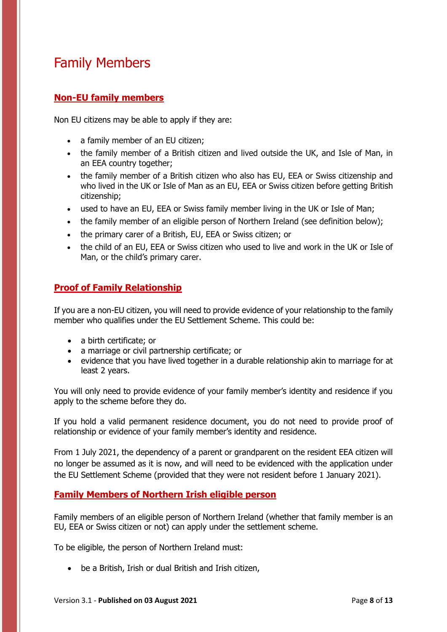## <span id="page-7-0"></span>Family Members

#### <span id="page-7-1"></span>**Non-EU family members**

Non EU citizens may be able to apply if they are:

- a family member of an EU citizen;
- the family member of a British citizen and lived outside the UK, and Isle of Man, in an EEA country together;
- the family member of a British citizen who also has EU, EEA or Swiss citizenship and who lived in the UK or Isle of Man as an EU, EEA or Swiss citizen before getting British citizenship;
- used to have an EU, EEA or Swiss family member living in the UK or Isle of Man;
- the family member of an eligible person of Northern Ireland (see definition below);
- the primary carer of a British, EU, EEA or Swiss citizen; or
- the child of an EU, EEA or Swiss citizen who used to live and work in the UK or Isle of Man, or the child's primary carer.

#### <span id="page-7-2"></span>**Proof of Family Relationship**

If you are a non-EU citizen, you will need to provide evidence of your relationship to the family member who qualifies under the EU Settlement Scheme. This could be:

- a birth certificate; or
- a marriage or civil partnership certificate; or
- evidence that you have lived together in a durable relationship akin to marriage for at least 2 years.

You will only need to provide evidence of your family member's identity and residence if you apply to the scheme before they do.

If you hold a valid permanent residence document, you do not need to provide proof of relationship or evidence of your family member's identity and residence.

From 1 July 2021, the dependency of a parent or grandparent on the resident EEA citizen will no longer be assumed as it is now, and will need to be evidenced with the application under the EU Settlement Scheme (provided that they were not resident before 1 January 2021).

#### <span id="page-7-3"></span>**Family Members of Northern Irish eligible person**

Family members of an eligible person of Northern Ireland (whether that family member is an EU, EEA or Swiss citizen or not) can apply under the settlement scheme.

To be eligible, the person of Northern Ireland must:

be a British, Irish or dual British and Irish citizen,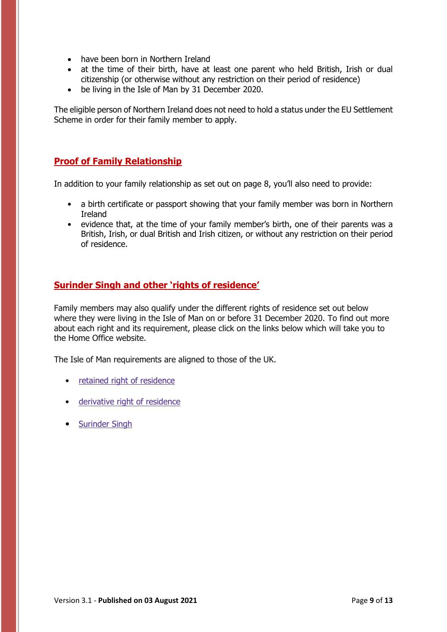- have been born in Northern Ireland
- at the time of their birth, have at least one parent who held British, Irish or dual citizenship (or otherwise without any restriction on their period of residence)
- be living in the Isle of Man by 31 December 2020.

The eligible person of Northern Ireland does not need to hold a status under the EU Settlement Scheme in order for their family member to apply.

#### <span id="page-8-0"></span>**Proof of Family Relationship**

In addition to your family relationship as set out on page 8, you'll also need to provide:

- a birth certificate or passport showing that your family member was born in Northern Ireland
- evidence that, at the time of your family member's birth, one of their parents was a British, Irish, or dual British and Irish citizen, or without any restriction on their period of residence.

#### <span id="page-8-1"></span>**Surinder Singh and other 'rights of residence'**

Family members may also qualify under the different rights of residence set out below where they were living in the Isle of Man on or before 31 December 2020. To find out more about each right and its requirement, please click on the links below which will take you to the Home Office website.

The Isle of Man requirements are aligned to those of the UK.

- retained right of [residence](https://www.gov.uk/government/publications/family-members-of-eea-nationals-who-have-retained-the-right-of-residence)
- [derivative](https://www.gov.uk/government/publications/derivative-rights-of-residence-ruiz-zambrano-cases) right of residence
- [Surinder](https://www.gov.uk/government/publications/free-movement-rights-family-members-of-british-citizens) Singh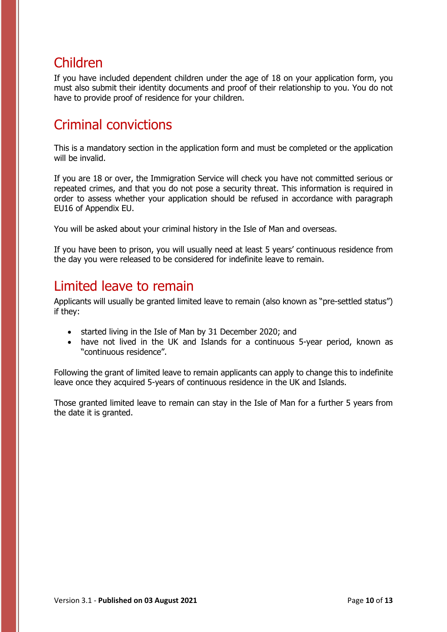### <span id="page-9-0"></span>Children

If you have included dependent children under the age of 18 on your application form, you must also submit their identity documents and proof of their relationship to you. You do not have to provide proof of residence for your children.

### <span id="page-9-1"></span>Criminal convictions

This is a mandatory section in the application form and must be completed or the application will be invalid.

If you are 18 or over, the Immigration Service will check you have not committed serious or repeated crimes, and that you do not pose a security threat. This information is required in order to assess whether your application should be refused in accordance with paragraph EU16 of Appendix EU.

You will be asked about your criminal history in the Isle of Man and overseas.

If you have been to prison, you will usually need at least 5 years' continuous residence from the day you were released to be considered for indefinite leave to remain.

### <span id="page-9-2"></span>Limited leave to remain

Applicants will usually be granted limited leave to remain (also known as "pre-settled status") if they:

- started living in the Isle of Man by 31 December 2020; and
- have not lived in the UK and Islands for a continuous 5-year period, known as "continuous residence".

Following the grant of limited leave to remain applicants can apply to change this to indefinite leave once they acquired 5-years of continuous residence in the UK and Islands.

Those granted limited leave to remain can stay in the Isle of Man for a further 5 years from the date it is granted.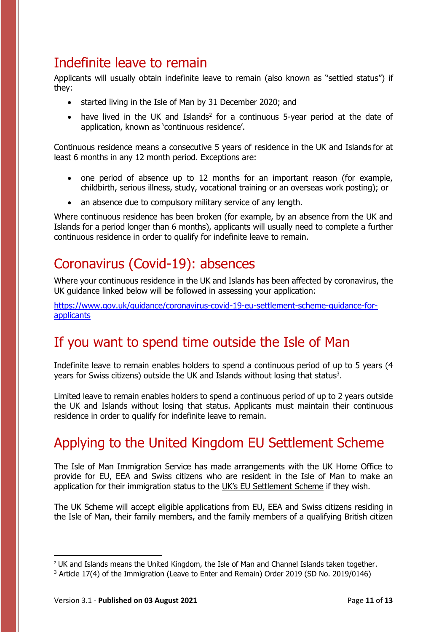### <span id="page-10-0"></span>Indefinite leave to remain

Applicants will usually obtain indefinite leave to remain (also known as "settled status") if they:

- started living in the Isle of Man by 31 December 2020; and
- have lived in the UK and Islands<sup>2</sup> for a continuous 5-year period at the date of application, known as 'continuous residence'.

Continuous residence means a consecutive 5 years of residence in the UK and Islands for at least 6 months in any 12 month period. Exceptions are:

- one period of absence up to 12 months for an important reason (for example, childbirth, serious illness, study, vocational training or an overseas work posting); or
- an absence due to compulsory military service of any length.

Where continuous residence has been broken (for example, by an absence from the UK and Islands for a period longer than 6 months), applicants will usually need to complete a further continuous residence in order to qualify for indefinite leave to remain.

## <span id="page-10-1"></span>Coronavirus (Covid-19): absences

Where your continuous residence in the UK and Islands has been affected by coronavirus, the UK guidance linked below will be followed in assessing your application:

[https://www.gov.uk/guidance/coronavirus-covid-19-eu-settlement-scheme-guidance-for](https://www.gov.uk/guidance/coronavirus-covid-19-eu-settlement-scheme-guidance-for-applicants)[applicants](https://www.gov.uk/guidance/coronavirus-covid-19-eu-settlement-scheme-guidance-for-applicants)

## <span id="page-10-2"></span>If you want to spend time outside the Isle of Man

Indefinite leave to remain enables holders to spend a continuous period of up to 5 years (4 years for Swiss citizens) outside the UK and Islands without losing that status<sup>3</sup>.

Limited leave to remain enables holders to spend a continuous period of up to 2 years outside the UK and Islands without losing that status. Applicants must maintain their continuous residence in order to qualify for indefinite leave to remain.

# <span id="page-10-3"></span>Applying to the United Kingdom EU Settlement Scheme

The Isle of Man Immigration Service has made arrangements with the UK Home Office to provide for EU, EEA and Swiss citizens who are resident in the Isle of Man to make an application for their immigration status to the UK['s EU Settlement S](https://www.gov.uk/settled-status-eu-citizens-families)cheme if they wish.

The UK Scheme will accept eligible applications from EU, EEA and Swiss citizens residing in the Isle of Man, their family members, and the family members of a qualifying British citizen

 $\overline{\phantom{a}}$ 

<sup>&</sup>lt;sup>2</sup> UK and Islands means the United Kingdom, the Isle of Man and Channel Islands taken together.

<sup>3</sup> Article 17(4) of the Immigration (Leave to Enter and Remain) Order 2019 (SD No. 2019/0146)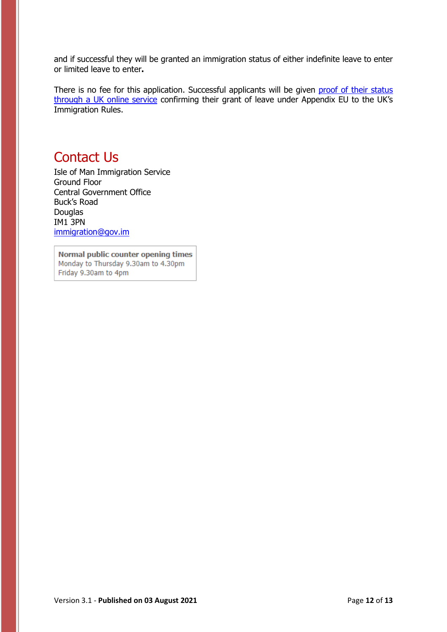and if successful they will be granted an immigration status of either indefinite leave to enter or limited leave to enter**.**

There is no fee for this application. Successful applicants will be given proof of their status [through a UK online service](https://www.gov.uk/view-prove-immigration-status) confirming their grant of leave under Appendix EU to the UK's Immigration Rules.

### <span id="page-11-0"></span>Contact Us

Isle of Man Immigration Service Ground Floor Central Government Office Buck's Road Douglas IM1 3PN [immigration@gov.im](mailto:immigration@gov.im)

Normal public counter opening times Monday to Thursday 9.30am to 4.30pm Friday 9.30am to 4pm